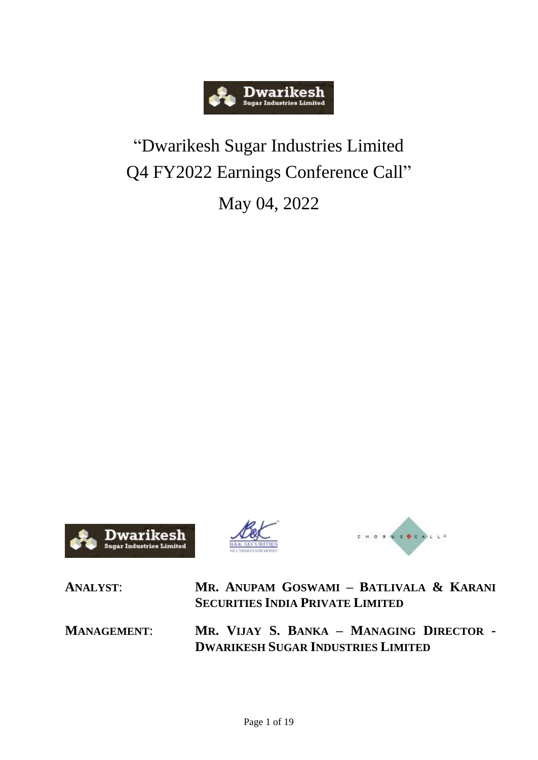

## "Dwarikesh Sugar Industries Limited Q4 FY2022 Earnings Conference Call"

May 04, 2022







**ANALYST**: **MR. ANUPAM GOSWAMI – BATLIVALA & KARANI SECURITIES INDIA PRIVATE LIMITED MANAGEMENT**: **MR. VIJAY S. BANKA – MANAGING DIRECTOR - DWARIKESH SUGAR INDUSTRIES LIMITED**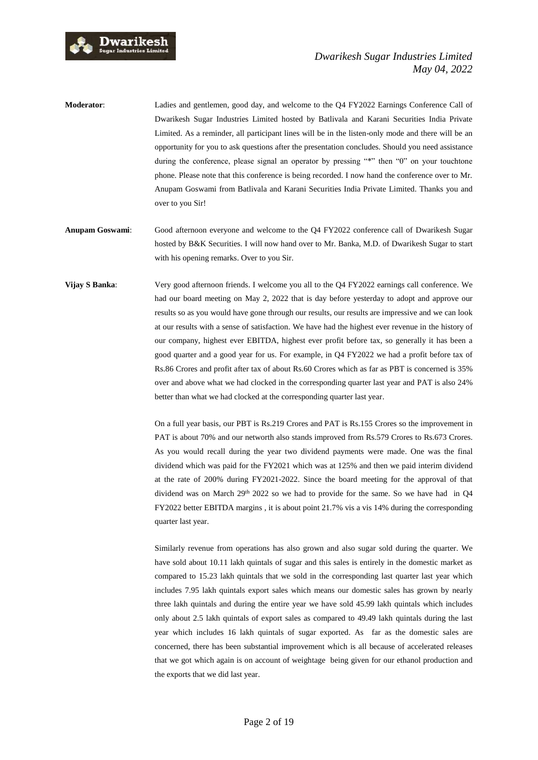

**Moderator:** Ladies and gentlemen, good day, and welcome to the Q4 FY2022 Earnings Conference Call of Dwarikesh Sugar Industries Limited hosted by Batlivala and Karani Securities India Private Limited. As a reminder, all participant lines will be in the listen-only mode and there will be an opportunity for you to ask questions after the presentation concludes. Should you need assistance during the conference, please signal an operator by pressing "\*" then "0" on your touchtone phone. Please note that this conference is being recorded. I now hand the conference over to Mr. Anupam Goswami from Batlivala and Karani Securities India Private Limited. Thanks you and over to you Sir!

- **Anupam Goswami**: Good afternoon everyone and welcome to the Q4 FY2022 conference call of Dwarikesh Sugar hosted by B&K Securities. I will now hand over to Mr. Banka, M.D. of Dwarikesh Sugar to start with his opening remarks. Over to you Sir.
- **Vijay S Banka**: Very good afternoon friends. I welcome you all to the Q4 FY2022 earnings call conference. We had our board meeting on May 2, 2022 that is day before yesterday to adopt and approve our results so as you would have gone through our results, our results are impressive and we can look at our results with a sense of satisfaction. We have had the highest ever revenue in the history of our company, highest ever EBITDA, highest ever profit before tax, so generally it has been a good quarter and a good year for us. For example, in Q4 FY2022 we had a profit before tax of Rs.86 Crores and profit after tax of about Rs.60 Crores which as far as PBT is concerned is 35% over and above what we had clocked in the corresponding quarter last year and PAT is also 24% better than what we had clocked at the corresponding quarter last year.

On a full year basis, our PBT is Rs.219 Crores and PAT is Rs.155 Crores so the improvement in PAT is about 70% and our networth also stands improved from Rs.579 Crores to Rs.673 Crores. As you would recall during the year two dividend payments were made. One was the final dividend which was paid for the FY2021 which was at 125% and then we paid interim dividend at the rate of 200% during FY2021-2022. Since the board meeting for the approval of that dividend was on March  $29<sup>th</sup> 2022$  so we had to provide for the same. So we have had in Q4 FY2022 better EBITDA margins , it is about point 21.7% vis a vis 14% during the corresponding quarter last year.

Similarly revenue from operations has also grown and also sugar sold during the quarter. We have sold about 10.11 lakh quintals of sugar and this sales is entirely in the domestic market as compared to 15.23 lakh quintals that we sold in the corresponding last quarter last year which includes 7.95 lakh quintals export sales which means our domestic sales has grown by nearly three lakh quintals and during the entire year we have sold 45.99 lakh quintals which includes only about 2.5 lakh quintals of export sales as compared to 49.49 lakh quintals during the last year which includes 16 lakh quintals of sugar exported. As far as the domestic sales are concerned, there has been substantial improvement which is all because of accelerated releases that we got which again is on account of weightage being given for our ethanol production and the exports that we did last year.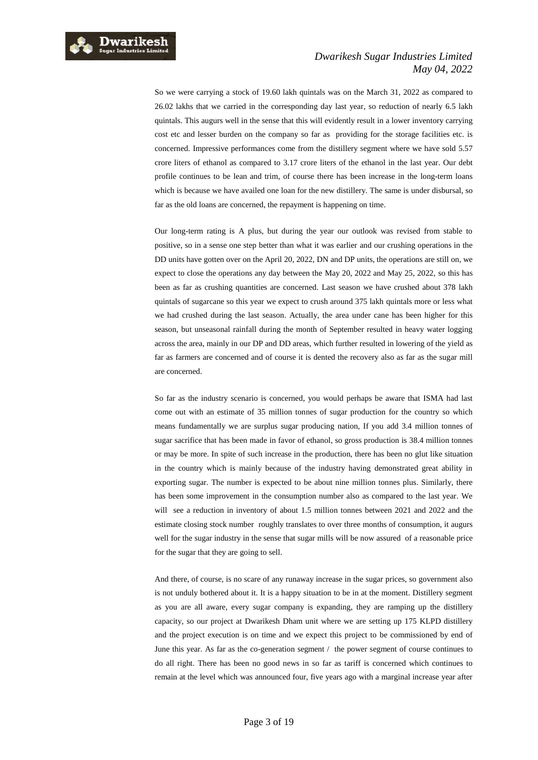

So we were carrying a stock of 19.60 lakh quintals was on the March 31, 2022 as compared to 26.02 lakhs that we carried in the corresponding day last year, so reduction of nearly 6.5 lakh quintals. This augurs well in the sense that this will evidently result in a lower inventory carrying cost etc and lesser burden on the company so far as providing for the storage facilities etc. is concerned. Impressive performances come from the distillery segment where we have sold 5.57 crore liters of ethanol as compared to 3.17 crore liters of the ethanol in the last year. Our debt profile continues to be lean and trim, of course there has been increase in the long-term loans which is because we have availed one loan for the new distillery. The same is under disbursal, so far as the old loans are concerned, the repayment is happening on time.

Our long-term rating is A plus, but during the year our outlook was revised from stable to positive, so in a sense one step better than what it was earlier and our crushing operations in the DD units have gotten over on the April 20, 2022, DN and DP units, the operations are still on, we expect to close the operations any day between the May 20, 2022 and May 25, 2022, so this has been as far as crushing quantities are concerned. Last season we have crushed about 378 lakh quintals of sugarcane so this year we expect to crush around 375 lakh quintals more or less what we had crushed during the last season. Actually, the area under cane has been higher for this season, but unseasonal rainfall during the month of September resulted in heavy water logging across the area, mainly in our DP and DD areas, which further resulted in lowering of the yield as far as farmers are concerned and of course it is dented the recovery also as far as the sugar mill are concerned.

So far as the industry scenario is concerned, you would perhaps be aware that ISMA had last come out with an estimate of 35 million tonnes of sugar production for the country so which means fundamentally we are surplus sugar producing nation, If you add 3.4 million tonnes of sugar sacrifice that has been made in favor of ethanol, so gross production is 38.4 million tonnes or may be more. In spite of such increase in the production, there has been no glut like situation in the country which is mainly because of the industry having demonstrated great ability in exporting sugar. The number is expected to be about nine million tonnes plus. Similarly, there has been some improvement in the consumption number also as compared to the last year. We will see a reduction in inventory of about 1.5 million tonnes between 2021 and 2022 and the estimate closing stock number roughly translates to over three months of consumption, it augurs well for the sugar industry in the sense that sugar mills will be now assured of a reasonable price for the sugar that they are going to sell.

And there, of course, is no scare of any runaway increase in the sugar prices, so government also is not unduly bothered about it. It is a happy situation to be in at the moment. Distillery segment as you are all aware, every sugar company is expanding, they are ramping up the distillery capacity, so our project at Dwarikesh Dham unit where we are setting up 175 KLPD distillery and the project execution is on time and we expect this project to be commissioned by end of June this year. As far as the co-generation segment / the power segment of course continues to do all right. There has been no good news in so far as tariff is concerned which continues to remain at the level which was announced four, five years ago with a marginal increase year after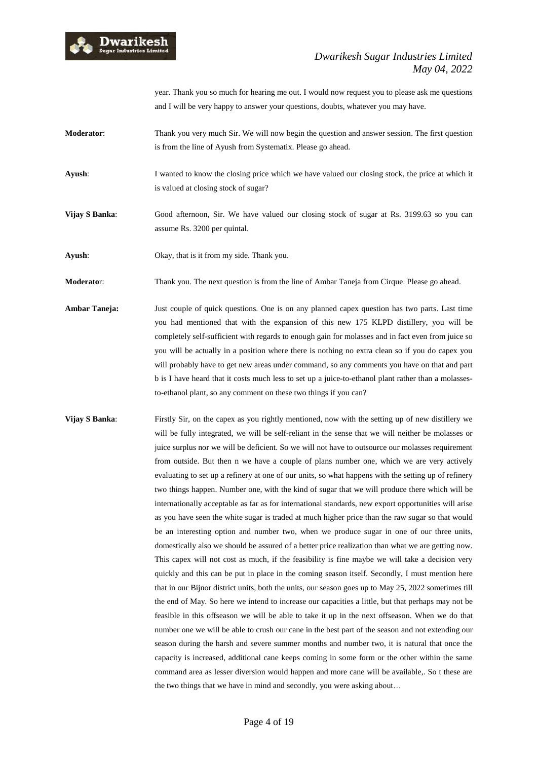

year. Thank you so much for hearing me out. I would now request you to please ask me questions and I will be very happy to answer your questions, doubts, whatever you may have.

- **Moderator**: Thank you very much Sir. We will now begin the question and answer session. The first question is from the line of Ayush from Systematix. Please go ahead.
- **Ayush**: I wanted to know the closing price which we have valued our closing stock, the price at which it is valued at closing stock of sugar?
- **Vijay S Banka**: Good afternoon, Sir. We have valued our closing stock of sugar at Rs. 3199.63 so you can assume Rs. 3200 per quintal.
- **Ayush**: Okay, that is it from my side. Thank you.

**Moderato**r: Thank you. The next question is from the line of Ambar Taneja from Cirque. Please go ahead.

- **Ambar Taneja:** Just couple of quick questions. One is on any planned capex question has two parts. Last time you had mentioned that with the expansion of this new 175 KLPD distillery, you will be completely self-sufficient with regards to enough gain for molasses and in fact even from juice so you will be actually in a position where there is nothing no extra clean so if you do capex you will probably have to get new areas under command, so any comments you have on that and part b is I have heard that it costs much less to set up a juice-to-ethanol plant rather than a molassesto-ethanol plant, so any comment on these two things if you can?
- **Vijay S Banka**: Firstly Sir, on the capex as you rightly mentioned, now with the setting up of new distillery we will be fully integrated, we will be self-reliant in the sense that we will neither be molasses or juice surplus nor we will be deficient. So we will not have to outsource our molasses requirement from outside. But then n we have a couple of plans number one, which we are very actively evaluating to set up a refinery at one of our units, so what happens with the setting up of refinery two things happen. Number one, with the kind of sugar that we will produce there which will be internationally acceptable as far as for international standards, new export opportunities will arise as you have seen the white sugar is traded at much higher price than the raw sugar so that would be an interesting option and number two, when we produce sugar in one of our three units, domestically also we should be assured of a better price realization than what we are getting now. This capex will not cost as much, if the feasibility is fine maybe we will take a decision very quickly and this can be put in place in the coming season itself. Secondly, I must mention here that in our Bijnor district units, both the units, our season goes up to May 25, 2022 sometimes till the end of May. So here we intend to increase our capacities a little, but that perhaps may not be feasible in this offseason we will be able to take it up in the next offseason. When we do that number one we will be able to crush our cane in the best part of the season and not extending our season during the harsh and severe summer months and number two, it is natural that once the capacity is increased, additional cane keeps coming in some form or the other within the same command area as lesser diversion would happen and more cane will be available,. So t these are the two things that we have in mind and secondly, you were asking about…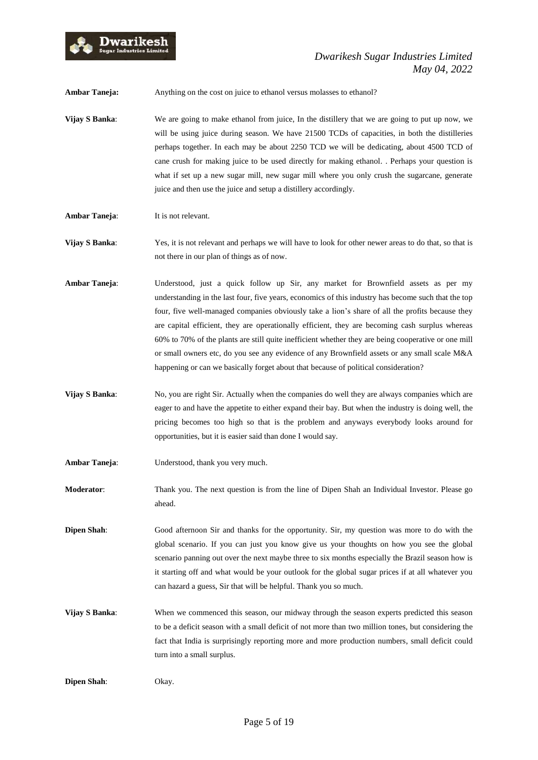

**Ambar Taneja:** Anything on the cost on juice to ethanol versus molasses to ethanol?

**Vijay S Banka:** We are going to make ethanol from juice, In the distillery that we are going to put up now, we will be using juice during season. We have 21500 TCDs of capacities, in both the distilleries perhaps together. In each may be about 2250 TCD we will be dedicating, about 4500 TCD of cane crush for making juice to be used directly for making ethanol. . Perhaps your question is what if set up a new sugar mill, new sugar mill where you only crush the sugarcane, generate juice and then use the juice and setup a distillery accordingly.

**Ambar Taneja:** It is not relevant.

**Vijay S Banka**: Yes, it is not relevant and perhaps we will have to look for other newer areas to do that, so that is not there in our plan of things as of now.

- **Ambar Taneja**: Understood, just a quick follow up Sir, any market for Brownfield assets as per my understanding in the last four, five years, economics of this industry has become such that the top four, five well-managed companies obviously take a lion's share of all the profits because they are capital efficient, they are operationally efficient, they are becoming cash surplus whereas 60% to 70% of the plants are still quite inefficient whether they are being cooperative or one mill or small owners etc, do you see any evidence of any Brownfield assets or any small scale M&A happening or can we basically forget about that because of political consideration?
- **Vijay S Banka:** No, you are right Sir. Actually when the companies do well they are always companies which are eager to and have the appetite to either expand their bay. But when the industry is doing well, the pricing becomes too high so that is the problem and anyways everybody looks around for opportunities, but it is easier said than done I would say.
- **Ambar Taneja**: Understood, thank you very much.
- **Moderator**: Thank you. The next question is from the line of Dipen Shah an Individual Investor. Please go ahead.

**Dipen Shah**: Good afternoon Sir and thanks for the opportunity. Sir, my question was more to do with the global scenario. If you can just you know give us your thoughts on how you see the global scenario panning out over the next maybe three to six months especially the Brazil season how is it starting off and what would be your outlook for the global sugar prices if at all whatever you can hazard a guess, Sir that will be helpful. Thank you so much.

**Vijay S Banka:** When we commenced this season, our midway through the season experts predicted this season to be a deficit season with a small deficit of not more than two million tones, but considering the fact that India is surprisingly reporting more and more production numbers, small deficit could turn into a small surplus.

**Dipen Shah**: Okay.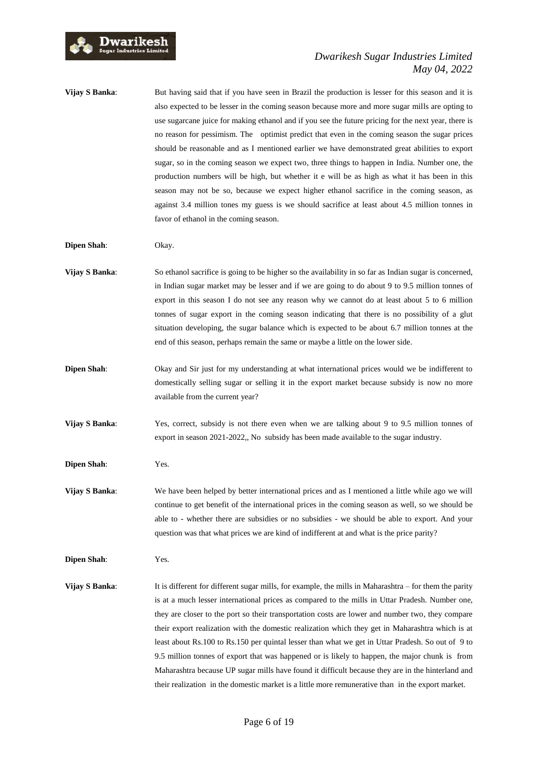

## *Dwarikesh Sugar Industries Limited May 04, 2022*

**Vijay S Banka:** But having said that if you have seen in Brazil the production is lesser for this season and it is also expected to be lesser in the coming season because more and more sugar mills are opting to use sugarcane juice for making ethanol and if you see the future pricing for the next year, there is no reason for pessimism. The optimist predict that even in the coming season the sugar prices should be reasonable and as I mentioned earlier we have demonstrated great abilities to export sugar, so in the coming season we expect two, three things to happen in India. Number one, the production numbers will be high, but whether it e will be as high as what it has been in this season may not be so, because we expect higher ethanol sacrifice in the coming season, as against 3.4 million tones my guess is we should sacrifice at least about 4.5 million tonnes in favor of ethanol in the coming season.

- **Dipen Shah**: Okay.
- **Vijay S Banka:** So ethanol sacrifice is going to be higher so the availability in so far as Indian sugar is concerned, in Indian sugar market may be lesser and if we are going to do about 9 to 9.5 million tonnes of export in this season I do not see any reason why we cannot do at least about 5 to 6 million tonnes of sugar export in the coming season indicating that there is no possibility of a glut situation developing, the sugar balance which is expected to be about 6.7 million tonnes at the end of this season, perhaps remain the same or maybe a little on the lower side.
- **Dipen Shah**: Okay and Sir just for my understanding at what international prices would we be indifferent to domestically selling sugar or selling it in the export market because subsidy is now no more available from the current year?
- **Vijay S Banka**: Yes, correct, subsidy is not there even when we are talking about 9 to 9.5 million tonnes of export in season 2021-2022,, No subsidy has been made available to the sugar industry.

**Dipen Shah**: Yes.

**Vijay S Banka:** We have been helped by better international prices and as I mentioned a little while ago we will continue to get benefit of the international prices in the coming season as well, so we should be able to - whether there are subsidies or no subsidies - we should be able to export. And your question was that what prices we are kind of indifferent at and what is the price parity?

**Dipen Shah**: Yes.

**Vijay S Banka**: It is different for different sugar mills, for example, the mills in Maharashtra – for them the parity is at a much lesser international prices as compared to the mills in Uttar Pradesh. Number one, they are closer to the port so their transportation costs are lower and number two, they compare their export realization with the domestic realization which they get in Maharashtra which is at least about Rs.100 to Rs.150 per quintal lesser than what we get in Uttar Pradesh. So out of 9 to 9.5 million tonnes of export that was happened or is likely to happen, the major chunk is from Maharashtra because UP sugar mills have found it difficult because they are in the hinterland and their realization in the domestic market is a little more remunerative than in the export market.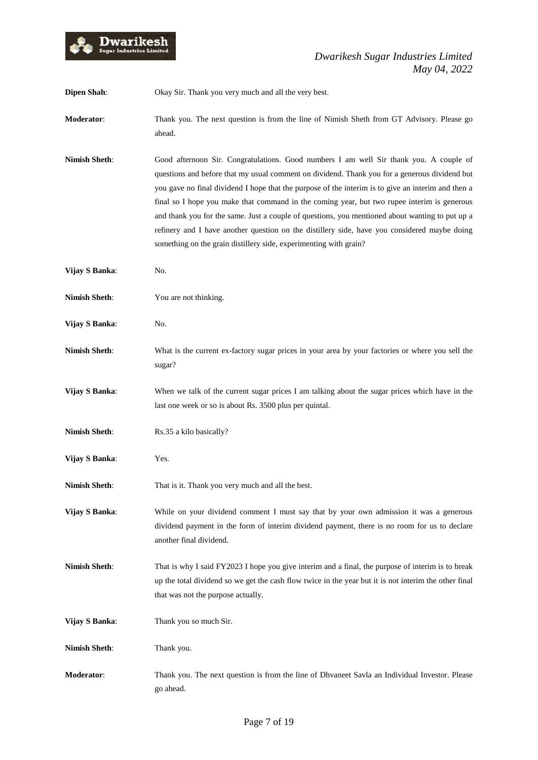

**Dipen Shah**: Okay Sir. Thank you very much and all the very best.

**Moderator**: Thank you. The next question is from the line of Nimish Sheth from GT Advisory. Please go ahead.

- **Nimish Sheth**: Good afternoon Sir. Congratulations. Good numbers I am well Sir thank you. A couple of questions and before that my usual comment on dividend. Thank you for a generous dividend but you gave no final dividend I hope that the purpose of the interim is to give an interim and then a final so I hope you make that command in the coming year, but two rupee interim is generous and thank you for the same. Just a couple of questions, you mentioned about wanting to put up a refinery and I have another question on the distillery side, have you considered maybe doing something on the grain distillery side, experimenting with grain?
- **Vijay S Banka**: No.
- **Nimish Sheth:** You are not thinking.
- **Vijay S Banka**: No.
- **Nimish Sheth**: What is the current ex-factory sugar prices in your area by your factories or where you sell the sugar?
- **Vijay S Banka**: When we talk of the current sugar prices I am talking about the sugar prices which have in the last one week or so is about Rs. 3500 plus per quintal.
- **Nimish Sheth:** Rs.35 a kilo basically?
- **Vijay S Banka**: Yes.
- **Nimish Sheth:** That is it. Thank you very much and all the best.
- **Vijay S Banka**: While on your dividend comment I must say that by your own admission it was a generous dividend payment in the form of interim dividend payment, there is no room for us to declare another final dividend.
- **Nimish Sheth**: That is why I said FY2023 I hope you give interim and a final, the purpose of interim is to break up the total dividend so we get the cash flow twice in the year but it is not interim the other final that was not the purpose actually.
- **Vijay S Banka**: Thank you so much Sir.
- **Nimish Sheth**: Thank you.
- **Moderator**: Thank you. The next question is from the line of Dhvaneet Savla an Individual Investor. Please go ahead.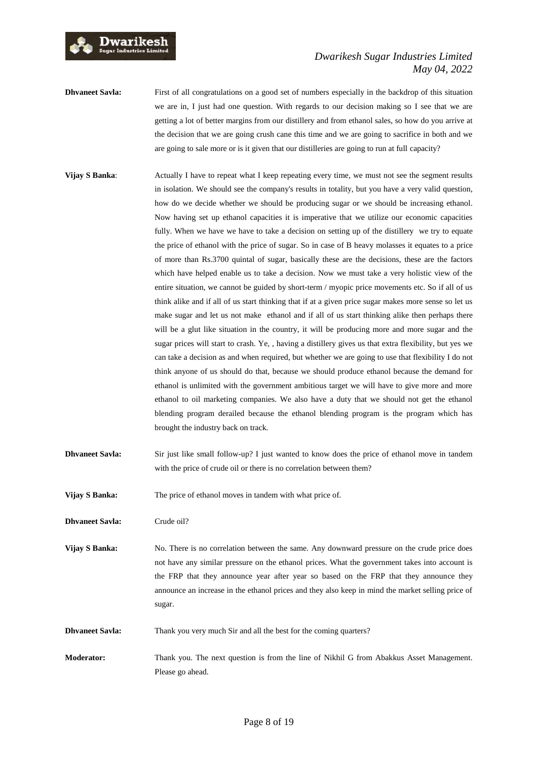

## *Dwarikesh Sugar Industries Limited May 04, 2022*

- **Dhvaneet Savla:** First of all congratulations on a good set of numbers especially in the backdrop of this situation we are in, I just had one question. With regards to our decision making so I see that we are getting a lot of better margins from our distillery and from ethanol sales, so how do you arrive at the decision that we are going crush cane this time and we are going to sacrifice in both and we are going to sale more or is it given that our distilleries are going to run at full capacity?
- **Vijay S Banka:** Actually I have to repeat what I keep repeating every time, we must not see the segment results in isolation. We should see the company's results in totality, but you have a very valid question, how do we decide whether we should be producing sugar or we should be increasing ethanol. Now having set up ethanol capacities it is imperative that we utilize our economic capacities fully. When we have we have to take a decision on setting up of the distillery we try to equate the price of ethanol with the price of sugar. So in case of B heavy molasses it equates to a price of more than Rs.3700 quintal of sugar, basically these are the decisions, these are the factors which have helped enable us to take a decision. Now we must take a very holistic view of the entire situation, we cannot be guided by short-term / myopic price movements etc. So if all of us think alike and if all of us start thinking that if at a given price sugar makes more sense so let us make sugar and let us not make ethanol and if all of us start thinking alike then perhaps there will be a glut like situation in the country, it will be producing more and more sugar and the sugar prices will start to crash. Ye, , having a distillery gives us that extra flexibility, but yes we can take a decision as and when required, but whether we are going to use that flexibility I do not think anyone of us should do that, because we should produce ethanol because the demand for ethanol is unlimited with the government ambitious target we will have to give more and more ethanol to oil marketing companies. We also have a duty that we should not get the ethanol blending program derailed because the ethanol blending program is the program which has brought the industry back on track.
- **Dhvaneet Savla:** Sir just like small follow-up? I just wanted to know does the price of ethanol move in tandem with the price of crude oil or there is no correlation between them?
- **Vijay S Banka:** The price of ethanol moves in tandem with what price of.

**Dhvaneet Savla:** Crude oil?

- **Vijay S Banka:** No. There is no correlation between the same. Any downward pressure on the crude price does not have any similar pressure on the ethanol prices. What the government takes into account is the FRP that they announce year after year so based on the FRP that they announce they announce an increase in the ethanol prices and they also keep in mind the market selling price of sugar.
- **Dhvaneet Savla:** Thank you very much Sir and all the best for the coming quarters?
- **Moderator:** Thank you. The next question is from the line of Nikhil G from Abakkus Asset Management. Please go ahead.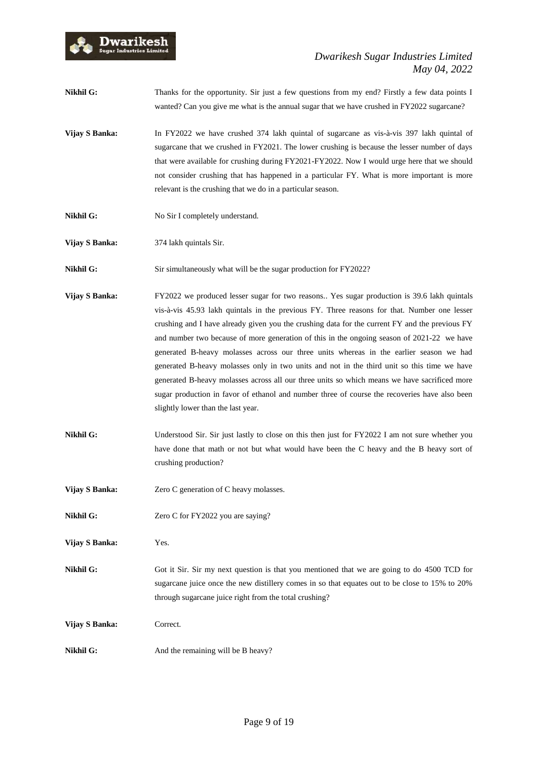

- **Nikhil G:** Thanks for the opportunity. Sir just a few questions from my end? Firstly a few data points I wanted? Can you give me what is the annual sugar that we have crushed in FY2022 sugarcane?
- **Vijay S Banka:** In FY2022 we have crushed 374 lakh quintal of sugarcane as vis-à-vis 397 lakh quintal of sugarcane that we crushed in FY2021. The lower crushing is because the lesser number of days that were available for crushing during FY2021-FY2022. Now I would urge here that we should not consider crushing that has happened in a particular FY. What is more important is more relevant is the crushing that we do in a particular season.
- **Nikhil G:** No Sir I completely understand.
- **Vijay S Banka:** 374 lakh quintals Sir.
- **Nikhil G:** Sir simultaneously what will be the sugar production for FY2022?
- **Vijay S Banka:** FY2022 we produced lesser sugar for two reasons.. Yes sugar production is 39.6 lakh quintals vis-à-vis 45.93 lakh quintals in the previous FY. Three reasons for that. Number one lesser crushing and I have already given you the crushing data for the current FY and the previous FY and number two because of more generation of this in the ongoing season of 2021-22 we have generated B-heavy molasses across our three units whereas in the earlier season we had generated B-heavy molasses only in two units and not in the third unit so this time we have generated B-heavy molasses across all our three units so which means we have sacrificed more sugar production in favor of ethanol and number three of course the recoveries have also been slightly lower than the last year.
- **Nikhil G:** Understood Sir. Sir just lastly to close on this then just for FY2022 I am not sure whether you have done that math or not but what would have been the C heavy and the B heavy sort of crushing production?
- **Vijay S Banka:** Zero C generation of C heavy molasses.
- **Nikhil G:** Zero C for FY2022 you are saying?
- **Vijay S Banka:** Yes.
- **Nikhil G:** Got it Sir. Sir my next question is that you mentioned that we are going to do 4500 TCD for sugarcane juice once the new distillery comes in so that equates out to be close to 15% to 20% through sugarcane juice right from the total crushing?
- **Vijay S Banka:** Correct.
- **Nikhil G:** And the remaining will be B heavy?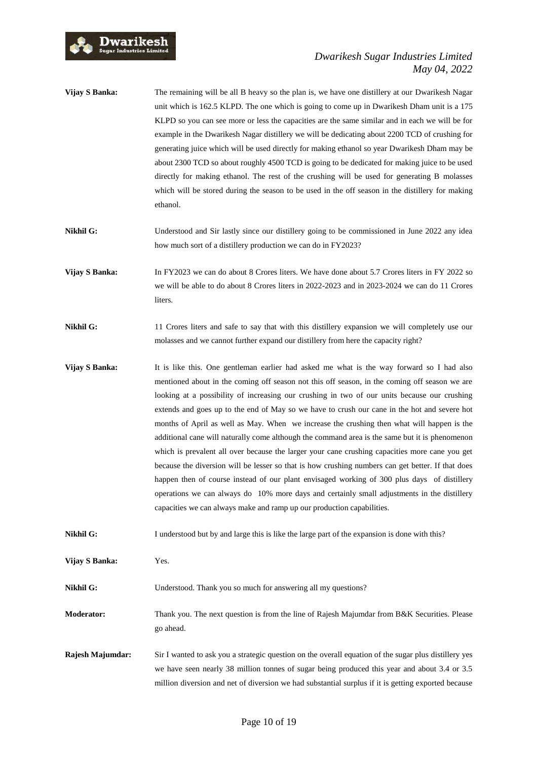

## *Dwarikesh Sugar Industries Limited May 04, 2022*

- **Vijay S Banka:** The remaining will be all B heavy so the plan is, we have one distillery at our Dwarikesh Nagar unit which is 162.5 KLPD. The one which is going to come up in Dwarikesh Dham unit is a 175 KLPD so you can see more or less the capacities are the same similar and in each we will be for example in the Dwarikesh Nagar distillery we will be dedicating about 2200 TCD of crushing for generating juice which will be used directly for making ethanol so year Dwarikesh Dham may be about 2300 TCD so about roughly 4500 TCD is going to be dedicated for making juice to be used directly for making ethanol. The rest of the crushing will be used for generating B molasses which will be stored during the season to be used in the off season in the distillery for making ethanol.
- Nikhil G: Understood and Sir lastly since our distillery going to be commissioned in June 2022 any idea how much sort of a distillery production we can do in FY2023?

**Vijay S Banka:** In FY2023 we can do about 8 Crores liters. We have done about 5.7 Crores liters in FY 2022 so we will be able to do about 8 Crores liters in 2022-2023 and in 2023-2024 we can do 11 Crores **liters** 

- **Nikhil G:** 11 Crores liters and safe to say that with this distillery expansion we will completely use our molasses and we cannot further expand our distillery from here the capacity right?
- **Vijay S Banka:** It is like this. One gentleman earlier had asked me what is the way forward so I had also mentioned about in the coming off season not this off season, in the coming off season we are looking at a possibility of increasing our crushing in two of our units because our crushing extends and goes up to the end of May so we have to crush our cane in the hot and severe hot months of April as well as May. When we increase the crushing then what will happen is the additional cane will naturally come although the command area is the same but it is phenomenon which is prevalent all over because the larger your cane crushing capacities more cane you get because the diversion will be lesser so that is how crushing numbers can get better. If that does happen then of course instead of our plant envisaged working of 300 plus days of distillery operations we can always do 10% more days and certainly small adjustments in the distillery capacities we can always make and ramp up our production capabilities.
- **Nikhil G:** I understood but by and large this is like the large part of the expansion is done with this?

**Vijay S Banka:** Yes.

**Nikhil G:** Understood. Thank you so much for answering all my questions?

**Moderator:** Thank you. The next question is from the line of Rajesh Majumdar from B&K Securities. Please go ahead.

**Rajesh Majumdar:** Sir I wanted to ask you a strategic question on the overall equation of the sugar plus distillery yes we have seen nearly 38 million tonnes of sugar being produced this year and about 3.4 or 3.5 million diversion and net of diversion we had substantial surplus if it is getting exported because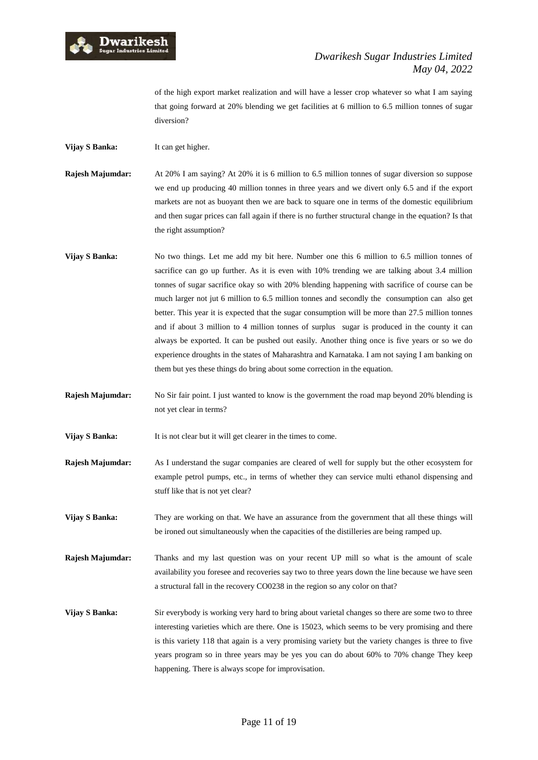

of the high export market realization and will have a lesser crop whatever so what I am saying that going forward at 20% blending we get facilities at 6 million to 6.5 million tonnes of sugar diversion?

**Vijay S Banka:** It can get higher.

**Rajesh Majumdar:** At 20% I am saying? At 20% it is 6 million to 6.5 million tonnes of sugar diversion so suppose we end up producing 40 million tonnes in three years and we divert only 6.5 and if the export markets are not as buoyant then we are back to square one in terms of the domestic equilibrium and then sugar prices can fall again if there is no further structural change in the equation? Is that the right assumption?

- **Vijay S Banka:** No two things. Let me add my bit here. Number one this 6 million to 6.5 million tonnes of sacrifice can go up further. As it is even with 10% trending we are talking about 3.4 million tonnes of sugar sacrifice okay so with 20% blending happening with sacrifice of course can be much larger not jut 6 million to 6.5 million tonnes and secondly the consumption can also get better. This year it is expected that the sugar consumption will be more than 27.5 million tonnes and if about 3 million to 4 million tonnes of surplus sugar is produced in the county it can always be exported. It can be pushed out easily. Another thing once is five years or so we do experience droughts in the states of Maharashtra and Karnataka. I am not saying I am banking on them but yes these things do bring about some correction in the equation.
- **Rajesh Majumdar:** No Sir fair point. I just wanted to know is the government the road map beyond 20% blending is not yet clear in terms?

**Vijay S Banka:** It is not clear but it will get clearer in the times to come.

- **Rajesh Majumdar:** As I understand the sugar companies are cleared of well for supply but the other ecosystem for example petrol pumps, etc., in terms of whether they can service multi ethanol dispensing and stuff like that is not yet clear?
- **Vijay S Banka:** They are working on that. We have an assurance from the government that all these things will be ironed out simultaneously when the capacities of the distilleries are being ramped up.

**Rajesh Majumdar:** Thanks and my last question was on your recent UP mill so what is the amount of scale availability you foresee and recoveries say two to three years down the line because we have seen a structural fall in the recovery CO0238 in the region so any color on that?

**Vijay S Banka:** Sir everybody is working very hard to bring about varietal changes so there are some two to three interesting varieties which are there. One is 15023, which seems to be very promising and there is this variety 118 that again is a very promising variety but the variety changes is three to five years program so in three years may be yes you can do about 60% to 70% change They keep happening. There is always scope for improvisation.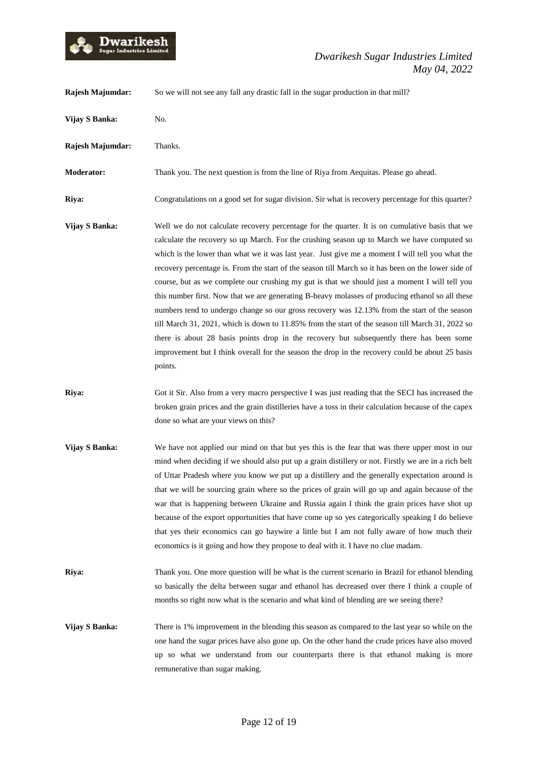

**Rajesh Majumdar:** So we will not see any fall any drastic fall in the sugar production in that mill?

**Vijay S Banka:** No. **Rajesh Majumdar:** Thanks. **Moderator:** Thank you. The next question is from the line of Riya from Aequitas. Please go ahead. **Riya:** Congratulations on a good set for sugar division. Sir what is recovery percentage for this quarter? **Vijay S Banka:** Well we do not calculate recovery percentage for the quarter. It is on cumulative basis that we calculate the recovery so up March. For the crushing season up to March we have computed so which is the lower than what we it was last year. Just give me a moment I will tell you what the recovery percentage is. From the start of the season till March so it has been on the lower side of course, but as we complete our crushing my gut is that we should just a moment I will tell you this number first. Now that we are generating B-heavy molasses of producing ethanol so all these numbers tend to undergo change so our gross recovery was 12.13% from the start of the season till March 31, 2021, which is down to 11.85% from the start of the season till March 31, 2022 so there is about 28 basis points drop in the recovery but subsequently there has been some improvement but I think overall for the season the drop in the recovery could be about 25 basis points. **Riya:** Got it Sir. Also from a very macro perspective I was just reading that the SECI has increased the broken grain prices and the grain distilleries have a toss in their calculation because of the capex done so what are your views on this? **Vijay S Banka:** We have not applied our mind on that but yes this is the fear that was there upper most in our mind when deciding if we should also put up a grain distillery or not. Firstly we are in a rich belt of Uttar Pradesh where you know we put up a distillery and the generally expectation around is that we will be sourcing grain where so the prices of grain will go up and again because of the war that is happening between Ukraine and Russia again I think the grain prices have shot up because of the export opportunities that have come up so yes categorically speaking I do believe that yes their economics can go haywire a little but I am not fully aware of how much their economics is it going and how they propose to deal with it. I have no clue madam. **Riya:** Thank you. One more question will be what is the current scenario in Brazil for ethanol blending so basically the delta between sugar and ethanol has decreased over there I think a couple of months so right now what is the scenario and what kind of blending are we seeing there? **Vijay S Banka:** There is 1% improvement in the blending this season as compared to the last year so while on the one hand the sugar prices have also gone up. On the other hand the crude prices have also moved up so what we understand from our counterparts there is that ethanol making is more remunerative than sugar making.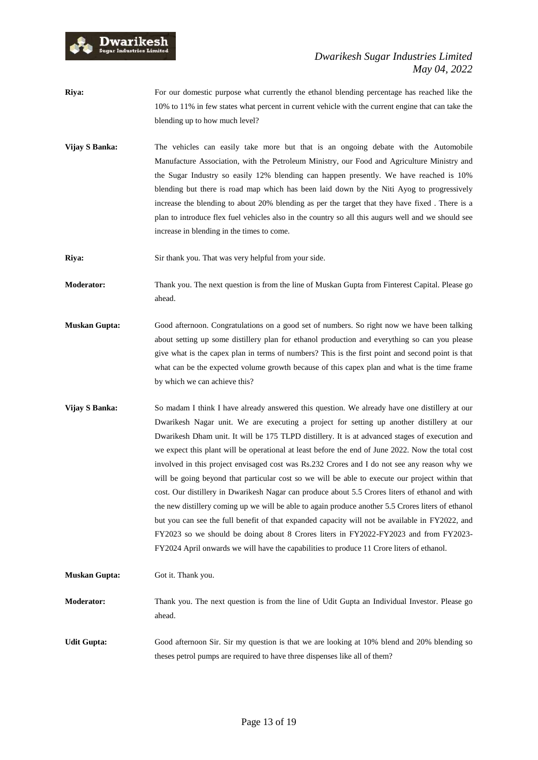

- **Riya:** For our domestic purpose what currently the ethanol blending percentage has reached like the 10% to 11% in few states what percent in current vehicle with the current engine that can take the blending up to how much level?
- **Vijay S Banka:** The vehicles can easily take more but that is an ongoing debate with the Automobile Manufacture Association, with the Petroleum Ministry, our Food and Agriculture Ministry and the Sugar Industry so easily 12% blending can happen presently. We have reached is 10% blending but there is road map which has been laid down by the Niti Ayog to progressively increase the blending to about 20% blending as per the target that they have fixed . There is a plan to introduce flex fuel vehicles also in the country so all this augurs well and we should see increase in blending in the times to come.
- **Riya:** Sir thank you. That was very helpful from your side.
- **Moderator:** Thank you. The next question is from the line of Muskan Gupta from Finterest Capital. Please go ahead.
- **Muskan Gupta:** Good afternoon. Congratulations on a good set of numbers. So right now we have been talking about setting up some distillery plan for ethanol production and everything so can you please give what is the capex plan in terms of numbers? This is the first point and second point is that what can be the expected volume growth because of this capex plan and what is the time frame by which we can achieve this?
- **Vijay S Banka:** So madam I think I have already answered this question. We already have one distillery at our Dwarikesh Nagar unit. We are executing a project for setting up another distillery at our Dwarikesh Dham unit. It will be 175 TLPD distillery. It is at advanced stages of execution and we expect this plant will be operational at least before the end of June 2022. Now the total cost involved in this project envisaged cost was Rs.232 Crores and I do not see any reason why we will be going beyond that particular cost so we will be able to execute our project within that cost. Our distillery in Dwarikesh Nagar can produce about 5.5 Crores liters of ethanol and with the new distillery coming up we will be able to again produce another 5.5 Crores liters of ethanol but you can see the full benefit of that expanded capacity will not be available in FY2022, and FY2023 so we should be doing about 8 Crores liters in FY2022-FY2023 and from FY2023- FY2024 April onwards we will have the capabilities to produce 11 Crore liters of ethanol.
- **Muskan Gupta:** Got it. Thank you.
- **Moderator:** Thank you. The next question is from the line of Udit Gupta an Individual Investor. Please go ahead.
- **Udit Gupta:** Good afternoon Sir. Sir my question is that we are looking at 10% blend and 20% blending so theses petrol pumps are required to have three dispenses like all of them?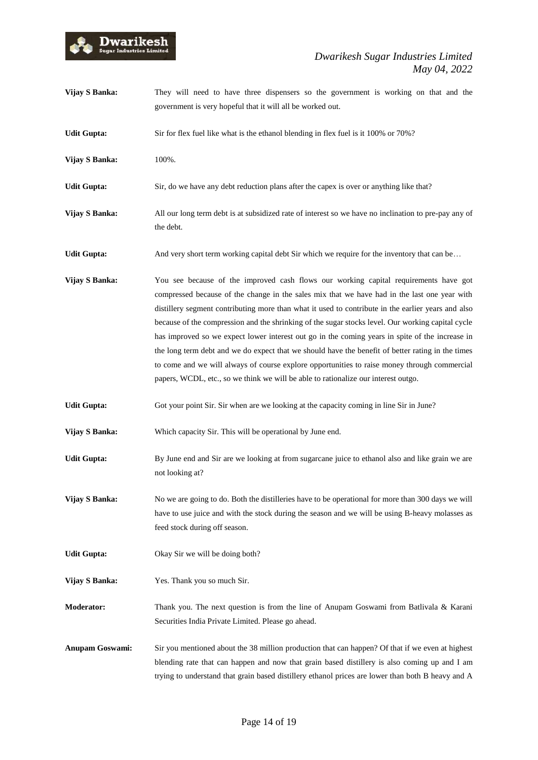

- **Vijay S Banka:** They will need to have three dispensers so the government is working on that and the government is very hopeful that it will all be worked out.
- **Udit Gupta:** Sir for flex fuel like what is the ethanol blending in flex fuel is it 100% or 70%?
- **Vijay S Banka:** 100%.
- Udit Gupta: Sir, do we have any debt reduction plans after the capex is over or anything like that?
- **Vijay S Banka:** All our long term debt is at subsidized rate of interest so we have no inclination to pre-pay any of the debt.
- **Udit Gupta:** And very short term working capital debt Sir which we require for the inventory that can be...
- **Vijay S Banka:** You see because of the improved cash flows our working capital requirements have got compressed because of the change in the sales mix that we have had in the last one year with distillery segment contributing more than what it used to contribute in the earlier years and also because of the compression and the shrinking of the sugar stocks level. Our working capital cycle has improved so we expect lower interest out go in the coming years in spite of the increase in the long term debt and we do expect that we should have the benefit of better rating in the times to come and we will always of course explore opportunities to raise money through commercial papers, WCDL, etc., so we think we will be able to rationalize our interest outgo.
- Udit Gupta: Got your point Sir. Sir when are we looking at the capacity coming in line Sir in June?
- **Vijay S Banka:** Which capacity Sir. This will be operational by June end.
- Udit Gupta: By June end and Sir are we looking at from sugarcane juice to ethanol also and like grain we are not looking at?

**Vijay S Banka:** No we are going to do. Both the distilleries have to be operational for more than 300 days we will have to use juice and with the stock during the season and we will be using B-heavy molasses as feed stock during off season.

- Udit Gupta: Okay Sir we will be doing both?
- **Vijay S Banka:** Yes. Thank you so much Sir.
- **Moderator:** Thank you. The next question is from the line of Anupam Goswami from Batlivala & Karani Securities India Private Limited. Please go ahead.

**Anupam Goswami:** Sir you mentioned about the 38 million production that can happen? Of that if we even at highest blending rate that can happen and now that grain based distillery is also coming up and I am trying to understand that grain based distillery ethanol prices are lower than both B heavy and A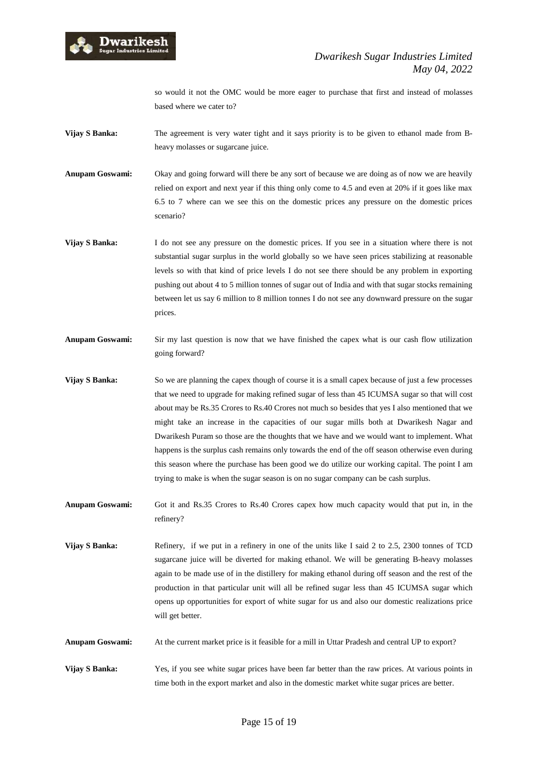

so would it not the OMC would be more eager to purchase that first and instead of molasses based where we cater to?

- **Vijay S Banka:** The agreement is very water tight and it says priority is to be given to ethanol made from Bheavy molasses or sugarcane juice.
- **Anupam Goswami:** Okay and going forward will there be any sort of because we are doing as of now we are heavily relied on export and next year if this thing only come to 4.5 and even at 20% if it goes like max 6.5 to 7 where can we see this on the domestic prices any pressure on the domestic prices scenario?
- **Vijay S Banka:** I do not see any pressure on the domestic prices. If you see in a situation where there is not substantial sugar surplus in the world globally so we have seen prices stabilizing at reasonable levels so with that kind of price levels I do not see there should be any problem in exporting pushing out about 4 to 5 million tonnes of sugar out of India and with that sugar stocks remaining between let us say 6 million to 8 million tonnes I do not see any downward pressure on the sugar prices.
- **Anupam Goswami:** Sir my last question is now that we have finished the capex what is our cash flow utilization going forward?
- **Vijay S Banka:** So we are planning the capex though of course it is a small capex because of just a few processes that we need to upgrade for making refined sugar of less than 45 ICUMSA sugar so that will cost about may be Rs.35 Crores to Rs.40 Crores not much so besides that yes I also mentioned that we might take an increase in the capacities of our sugar mills both at Dwarikesh Nagar and Dwarikesh Puram so those are the thoughts that we have and we would want to implement. What happens is the surplus cash remains only towards the end of the off season otherwise even during this season where the purchase has been good we do utilize our working capital. The point I am trying to make is when the sugar season is on no sugar company can be cash surplus.
- **Anupam Goswami:** Got it and Rs.35 Crores to Rs.40 Crores capex how much capacity would that put in, in the refinery?
- **Vijay S Banka:** Refinery, if we put in a refinery in one of the units like I said 2 to 2.5, 2300 tonnes of TCD sugarcane juice will be diverted for making ethanol. We will be generating B-heavy molasses again to be made use of in the distillery for making ethanol during off season and the rest of the production in that particular unit will all be refined sugar less than 45 ICUMSA sugar which opens up opportunities for export of white sugar for us and also our domestic realizations price will get better.
- **Anupam Goswami:** At the current market price is it feasible for a mill in Uttar Pradesh and central UP to export?
- **Vijay S Banka:** Yes, if you see white sugar prices have been far better than the raw prices. At various points in time both in the export market and also in the domestic market white sugar prices are better.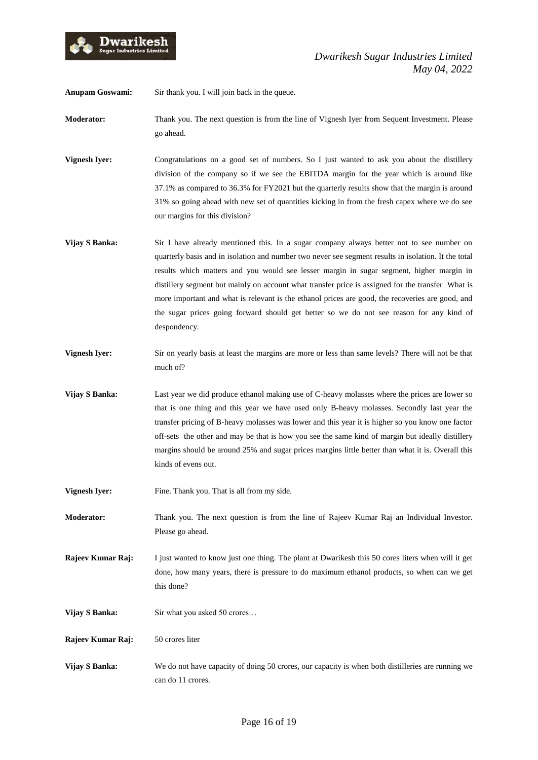

**Anupam Goswami:** Sir thank you. I will join back in the queue.

**Moderator:** Thank you. The next question is from the line of Vignesh Iyer from Sequent Investment. Please go ahead.

- **Vignesh Iyer:** Congratulations on a good set of numbers. So I just wanted to ask you about the distillery division of the company so if we see the EBITDA margin for the year which is around like 37.1% as compared to 36.3% for FY2021 but the quarterly results show that the margin is around 31% so going ahead with new set of quantities kicking in from the fresh capex where we do see our margins for this division?
- **Vijay S Banka:** Sir I have already mentioned this. In a sugar company always better not to see number on quarterly basis and in isolation and number two never see segment results in isolation. It the total results which matters and you would see lesser margin in sugar segment, higher margin in distillery segment but mainly on account what transfer price is assigned for the transfer What is more important and what is relevant is the ethanol prices are good, the recoveries are good, and the sugar prices going forward should get better so we do not see reason for any kind of despondency.
- **Vignesh Iyer:** Sir on yearly basis at least the margins are more or less than same levels? There will not be that much of?
- **Vijay S Banka:** Last year we did produce ethanol making use of C-heavy molasses where the prices are lower so that is one thing and this year we have used only B-heavy molasses. Secondly last year the transfer pricing of B-heavy molasses was lower and this year it is higher so you know one factor off-sets the other and may be that is how you see the same kind of margin but ideally distillery margins should be around 25% and sugar prices margins little better than what it is. Overall this kinds of evens out.
- **Vignesh Iyer:** Fine. Thank you. That is all from my side.

**Moderator:** Thank you. The next question is from the line of Rajeev Kumar Raj an Individual Investor. Please go ahead.

**Rajeev Kumar Raj:** I just wanted to know just one thing. The plant at Dwarikesh this 50 cores liters when will it get done, how many years, there is pressure to do maximum ethanol products, so when can we get this done?

- **Vijay S Banka:** Sir what you asked 50 crores...
- **Rajeev Kumar Raj:** 50 crores liter
- **Vijay S Banka:** We do not have capacity of doing 50 crores, our capacity is when both distilleries are running we can do 11 crores.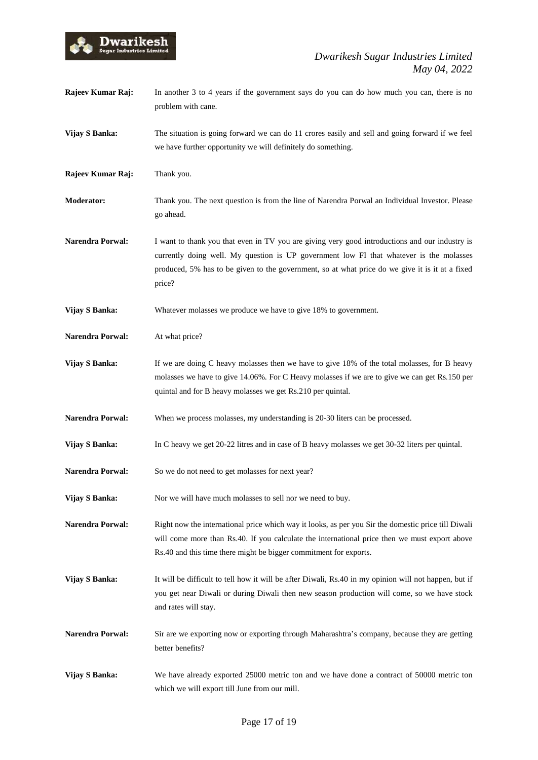

| Rajeev Kumar Raj:       | In another 3 to 4 years if the government says do you can do how much you can, there is no<br>problem with cane.                                                                                                                                                                                       |
|-------------------------|--------------------------------------------------------------------------------------------------------------------------------------------------------------------------------------------------------------------------------------------------------------------------------------------------------|
| Vijay S Banka:          | The situation is going forward we can do 11 crores easily and sell and going forward if we feel<br>we have further opportunity we will definitely do something.                                                                                                                                        |
| Rajeev Kumar Raj:       | Thank you.                                                                                                                                                                                                                                                                                             |
| <b>Moderator:</b>       | Thank you. The next question is from the line of Narendra Porwal an Individual Investor. Please<br>go ahead.                                                                                                                                                                                           |
| <b>Narendra Porwal:</b> | I want to thank you that even in TV you are giving very good introductions and our industry is<br>currently doing well. My question is UP government low FI that whatever is the molasses<br>produced, 5% has to be given to the government, so at what price do we give it is it at a fixed<br>price? |
| Vijay S Banka:          | Whatever molasses we produce we have to give 18% to government.                                                                                                                                                                                                                                        |
| <b>Narendra Porwal:</b> | At what price?                                                                                                                                                                                                                                                                                         |
| Vijay S Banka:          | If we are doing C heavy molasses then we have to give 18% of the total molasses, for B heavy<br>molasses we have to give 14.06%. For C Heavy molasses if we are to give we can get Rs.150 per<br>quintal and for B heavy molasses we get Rs.210 per quintal.                                           |
| <b>Narendra Porwal:</b> | When we process molasses, my understanding is 20-30 liters can be processed.                                                                                                                                                                                                                           |
| Vijay S Banka:          | In C heavy we get 20-22 litres and in case of B heavy molasses we get 30-32 liters per quintal.                                                                                                                                                                                                        |
| <b>Narendra Porwal:</b> | So we do not need to get molasses for next year?                                                                                                                                                                                                                                                       |
| Vijay S Banka:          | Nor we will have much molasses to sell nor we need to buy.                                                                                                                                                                                                                                             |
| Narendra Porwal:        | Right now the international price which way it looks, as per you Sir the domestic price till Diwali<br>will come more than Rs.40. If you calculate the international price then we must export above<br>Rs.40 and this time there might be bigger commitment for exports.                              |
| Vijay S Banka:          | It will be difficult to tell how it will be after Diwali, Rs.40 in my opinion will not happen, but if<br>you get near Diwali or during Diwali then new season production will come, so we have stock<br>and rates will stay.                                                                           |
| <b>Narendra Porwal:</b> | Sir are we exporting now or exporting through Maharashtra's company, because they are getting<br>better benefits?                                                                                                                                                                                      |
| Vijay S Banka:          | We have already exported 25000 metric ton and we have done a contract of 50000 metric ton<br>which we will export till June from our mill.                                                                                                                                                             |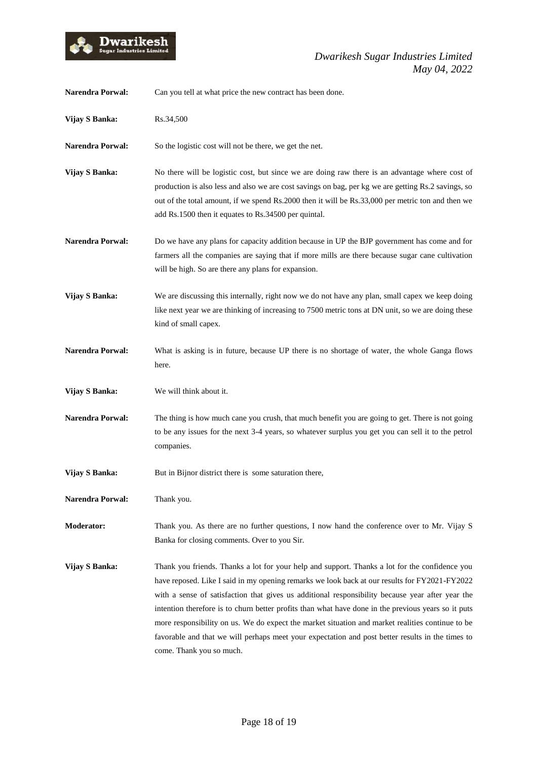

| <b>Narendra Porwal:</b> | Can you tell at what price the new contract has been done.                                                                                                                                                                                                                                                                                                                                                                                                                                                                                                                                                                                     |
|-------------------------|------------------------------------------------------------------------------------------------------------------------------------------------------------------------------------------------------------------------------------------------------------------------------------------------------------------------------------------------------------------------------------------------------------------------------------------------------------------------------------------------------------------------------------------------------------------------------------------------------------------------------------------------|
| Vijay S Banka:          | Rs.34,500                                                                                                                                                                                                                                                                                                                                                                                                                                                                                                                                                                                                                                      |
| <b>Narendra Porwal:</b> | So the logistic cost will not be there, we get the net.                                                                                                                                                                                                                                                                                                                                                                                                                                                                                                                                                                                        |
| Vijay S Banka:          | No there will be logistic cost, but since we are doing raw there is an advantage where cost of<br>production is also less and also we are cost savings on bag, per kg we are getting Rs.2 savings, so<br>out of the total amount, if we spend Rs.2000 then it will be Rs.33,000 per metric ton and then we<br>add Rs.1500 then it equates to Rs.34500 per quintal.                                                                                                                                                                                                                                                                             |
| <b>Narendra Porwal:</b> | Do we have any plans for capacity addition because in UP the BJP government has come and for<br>farmers all the companies are saying that if more mills are there because sugar cane cultivation<br>will be high. So are there any plans for expansion.                                                                                                                                                                                                                                                                                                                                                                                        |
| Vijay S Banka:          | We are discussing this internally, right now we do not have any plan, small capex we keep doing<br>like next year we are thinking of increasing to 7500 metric tons at DN unit, so we are doing these<br>kind of small capex.                                                                                                                                                                                                                                                                                                                                                                                                                  |
| <b>Narendra Porwal:</b> | What is asking is in future, because UP there is no shortage of water, the whole Ganga flows<br>here.                                                                                                                                                                                                                                                                                                                                                                                                                                                                                                                                          |
| Vijay S Banka:          | We will think about it.                                                                                                                                                                                                                                                                                                                                                                                                                                                                                                                                                                                                                        |
| <b>Narendra Porwal:</b> | The thing is how much cane you crush, that much benefit you are going to get. There is not going<br>to be any issues for the next 3-4 years, so whatever surplus you get you can sell it to the petrol<br>companies.                                                                                                                                                                                                                                                                                                                                                                                                                           |
| Vijay S Banka:          | But in Bijnor district there is some saturation there,                                                                                                                                                                                                                                                                                                                                                                                                                                                                                                                                                                                         |
| <b>Narendra Porwal:</b> | Thank you.                                                                                                                                                                                                                                                                                                                                                                                                                                                                                                                                                                                                                                     |
| <b>Moderator:</b>       | Thank you. As there are no further questions, I now hand the conference over to Mr. Vijay S<br>Banka for closing comments. Over to you Sir.                                                                                                                                                                                                                                                                                                                                                                                                                                                                                                    |
| Vijay S Banka:          | Thank you friends. Thanks a lot for your help and support. Thanks a lot for the confidence you<br>have reposed. Like I said in my opening remarks we look back at our results for FY2021-FY2022<br>with a sense of satisfaction that gives us additional responsibility because year after year the<br>intention therefore is to churn better profits than what have done in the previous years so it puts<br>more responsibility on us. We do expect the market situation and market realities continue to be<br>favorable and that we will perhaps meet your expectation and post better results in the times to<br>come. Thank you so much. |